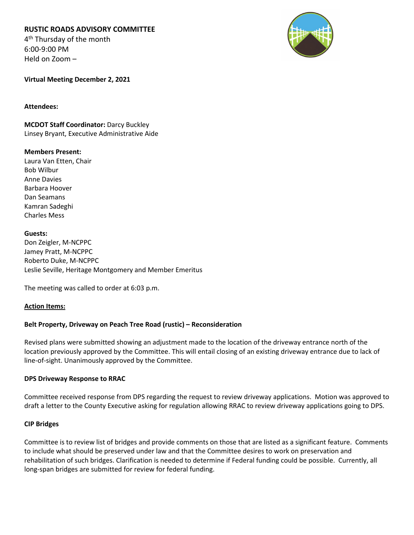# **RUSTIC ROADS ADVISORY COMMITTEE**

4<sup>th</sup> Thursday of the month 6:00-9:00 PM Held on Zoom –



**Virtual Meeting December 2, 2021**

#### **Attendees:**

**MCDOT Staff Coordinator:** Darcy Buckley Linsey Bryant, Executive Administrative Aide

#### **Members Present:**

Laura Van Etten, Chair Bob Wilbur Anne Davies Barbara Hoover Dan Seamans Kamran Sadeghi Charles Mess

## **Guests:**

Don Zeigler, M-NCPPC Jamey Pratt, M-NCPPC Roberto Duke, M-NCPPC Leslie Seville, Heritage Montgomery and Member Emeritus

The meeting was called to order at 6:03 p.m.

#### **Action Items:**

# **Belt Property, Driveway on Peach Tree Road (rustic) – Reconsideration**

Revised plans were submitted showing an adjustment made to the location of the driveway entrance north of the location previously approved by the Committee. This will entail closing of an existing driveway entrance due to lack of line-of-sight. Unanimously approved by the Committee.

#### **DPS Driveway Response to RRAC**

Committee received response from DPS regarding the request to review driveway applications. Motion was approved to draft a letter to the County Executive asking for regulation allowing RRAC to review driveway applications going to DPS.

#### **CIP Bridges**

Committee is to review list of bridges and provide comments on those that are listed as a significant feature. Comments to include what should be preserved under law and that the Committee desires to work on preservation and rehabilitation of such bridges. Clarification is needed to determine if Federal funding could be possible. Currently, all long-span bridges are submitted for review for federal funding.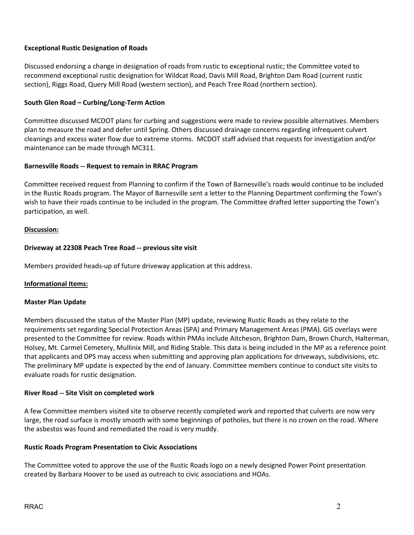### **Exceptional Rustic Designation of Roads**

Discussed endorsing a change in designation of roads from rustic to exceptional rustic; the Committee voted to recommend exceptional rustic designation for Wildcat Road, Davis Mill Road, Brighton Dam Road (current rustic section), Riggs Road, Query Mill Road (western section), and Peach Tree Road (northern section).

#### **South Glen Road – Curbing/Long-Term Action**

Committee discussed MCDOT plans for curbing and suggestions were made to review possible alternatives. Members plan to measure the road and defer until Spring. Others discussed drainage concerns regarding infrequent culvert cleanings and excess water flow due to extreme storms. MCDOT staff advised that requests for investigation and/or maintenance can be made through MC311.

#### **Barnesville Roads -- Request to remain in RRAC Program**

Committee received request from Planning to confirm if the Town of Barnesville's roads would continue to be included in the Rustic Roads program. The Mayor of Barnesville sent a letter to the Planning Department confirming the Town's wish to have their roads continue to be included in the program. The Committee drafted letter supporting the Town's participation, as well.

#### **Discussion:**

### **Driveway at 22308 Peach Tree Road -- previous site visit**

Members provided heads-up of future driveway application at this address.

#### **Informational Items:**

#### **Master Plan Update**

Members discussed the status of the Master Plan (MP) update, reviewing Rustic Roads as they relate to the requirements set regarding Special Protection Areas (SPA) and Primary Management Areas (PMA). GIS overlays were presented to the Committee for review. Roads within PMAs include Aitcheson, Brighton Dam, Brown Church, Halterman, Holsey, Mt. Carmel Cemetery, Mullinix Mill, and Riding Stable. This data is being included in the MP as a reference point that applicants and DPS may access when submitting and approving plan applications for driveways, subdivisions, etc. The preliminary MP update is expected by the end of January. Committee members continue to conduct site visits to evaluate roads for rustic designation.

#### **River Road -- Site Visit on completed work**

A few Committee members visited site to observe recently completed work and reported that culverts are now very large, the road surface is mostly smooth with some beginnings of potholes, but there is no crown on the road. Where the asbestos was found and remediated the road is very muddy.

#### **Rustic Roads Program Presentation to Civic Associations**

The Committee voted to approve the use of the Rustic Roads logo on a newly designed Power Point presentation created by Barbara Hoover to be used as outreach to civic associations and HOAs.